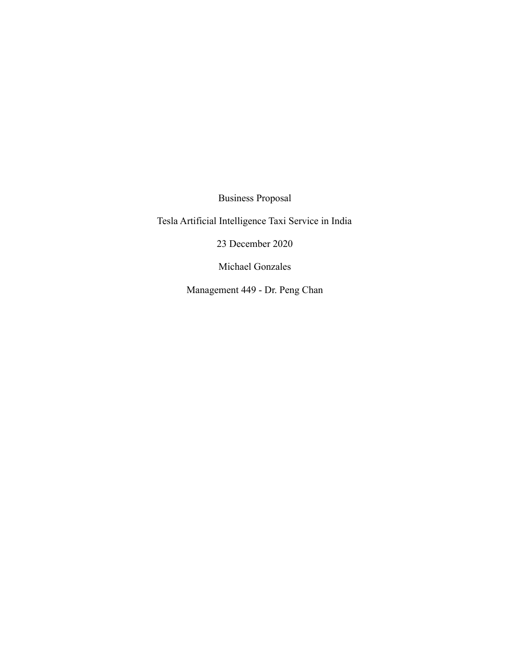Business Proposal

Tesla Artificial Intelligence Taxi Service in India

23 December 2020

Michael Gonzales

Management 449 - Dr. Peng Chan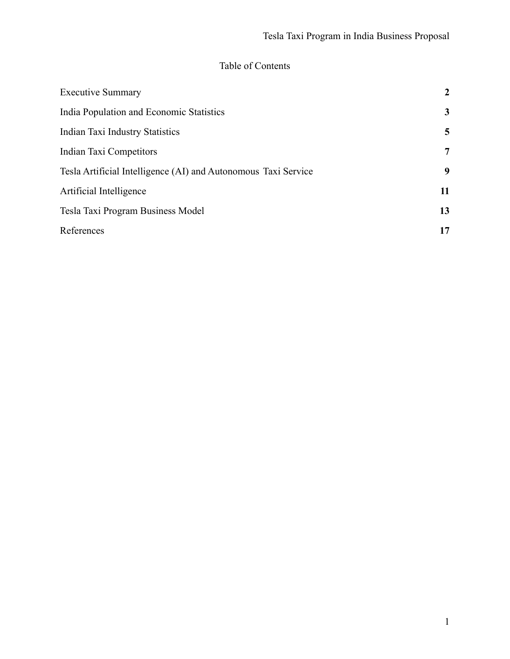# Table of Contents

| <b>Executive Summary</b>                                       | $\overline{2}$  |
|----------------------------------------------------------------|-----------------|
| India Population and Economic Statistics                       | 3               |
| Indian Taxi Industry Statistics                                | 5               |
| Indian Taxi Competitors                                        | $7\phantom{.0}$ |
| Tesla Artificial Intelligence (AI) and Autonomous Taxi Service | 9               |
| Artificial Intelligence                                        | 11              |
| Tesla Taxi Program Business Model                              | 13              |
| References                                                     | 17              |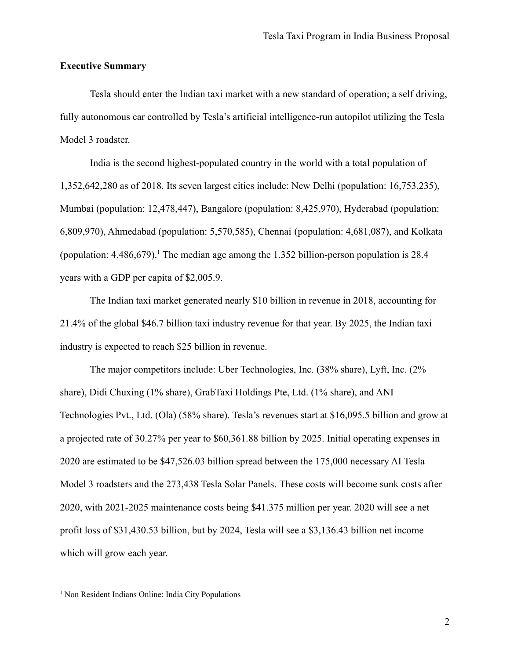### <span id="page-2-0"></span>**Executive Summary**

Tesla should enter the Indian taxi market with a new standard of operation; a self driving, fully autonomous car controlled by Tesla's artificial intelligence-run autopilot utilizing the Tesla Model 3 roadster.

India is the second highest-populated country in the world with a total population of 1,352,642,280 as of 2018. Its seven largest cities include: New Delhi (population: 16,753,235), Mumbai (population: 12,478,447), Bangalore (population: 8,425,970), Hyderabad (population: 6,809,970), Ahmedabad (population: 5,570,585), Chennai (population: 4,681,087), and Kolkata (population:  $4,486,679$ ).<sup>1</sup> The median age among the 1.352 billion-person population is 28.4 years with a GDP per capita of \$2,005.9.

The Indian taxi market generated nearly \$10 billion in revenue in 2018, accounting for 21.4% of the global \$46.7 billion taxi industry revenue for that year. By 2025, the Indian taxi industry is expected to reach \$25 billion in revenue.

The major competitors include: Uber Technologies, Inc. (38% share), Lyft, Inc. (2% share), Didi Chuxing (1% share), GrabTaxi Holdings Pte, Ltd. (1% share), and ANI Technologies Pvt., Ltd. (Ola) (58% share). Tesla's revenues start at \$16,095.5 billion and grow at a projected rate of 30.27% per year to \$60,361.88 billion by 2025. Initial operating expenses in 2020 are estimated to be \$47,526.03 billion spread between the 175,000 necessary AI Tesla Model 3 roadsters and the 273,438 Tesla Solar Panels. These costs will become sunk costs after 2020, with 2021-2025 maintenance costs being \$41.375 million per year. 2020 will see a net profit loss of \$31,430.53 billion, but by 2024, Tesla will see a \$3,136.43 billion net income which will grow each year.

<sup>&</sup>lt;sup>1</sup> Non Resident Indians Online: India City Populations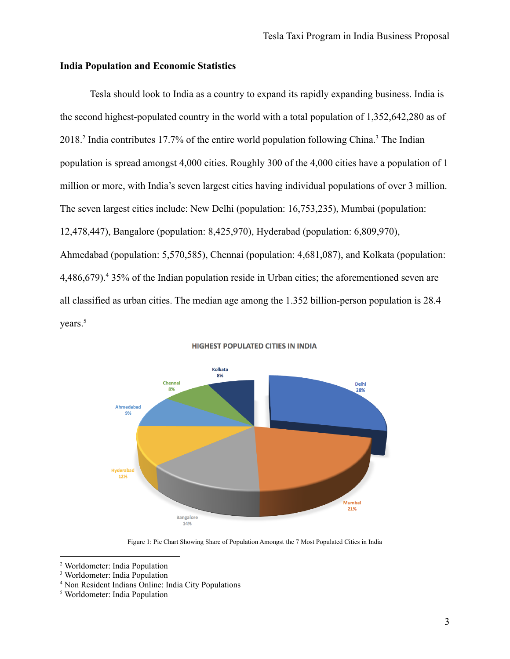### <span id="page-3-0"></span>**India Population and Economic Statistics**

Tesla should look to India as a country to expand its rapidly expanding business. India is the second highest-populated country in the world with a total population of 1,352,642,280 as of 2018.<sup>2</sup> India contributes 17.7% of the entire world population following China.<sup>3</sup> The Indian population is spread amongst 4,000 cities. Roughly 300 of the 4,000 cities have a population of 1 million or more, with India's seven largest cities having individual populations of over 3 million. The seven largest cities include: New Delhi (population: 16,753,235), Mumbai (population: 12,478,447), Bangalore (population: 8,425,970), Hyderabad (population: 6,809,970), Ahmedabad (population: 5,570,585), Chennai (population: 4,681,087), and Kolkata (population: 4,486,679).<sup>4</sup> 35% of the Indian population reside in Urban cities; the aforementioned seven are all classified as urban cities. The median age among the 1.352 billion-person population is 28.4 years.<sup>5</sup>



#### **HIGHEST POPULATED CITIES IN INDIA**

Figure 1: Pie Chart Showing Share of Population Amongst the 7 Most Populated Cities in India

<sup>4</sup> Non Resident Indians Online: India City Populations

<sup>2</sup> Worldometer: India Population

<sup>&</sup>lt;sup>3</sup> Worldometer: India Population

<sup>5</sup> Worldometer: India Population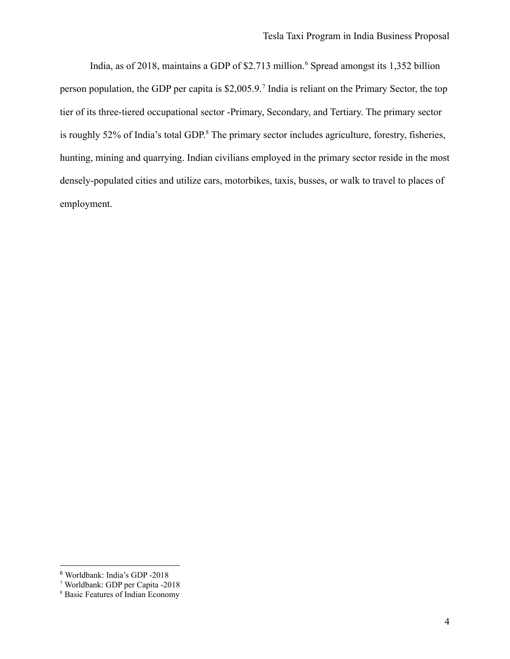India, as of 2018, maintains a GDP of \$2.713 million.<sup>6</sup> Spread amongst its 1,352 billion person population, the GDP per capita is \$2,005.9.<sup>7</sup> India is reliant on the Primary Sector, the top tier of its three-tiered occupational sector -Primary, Secondary, and Tertiary. The primary sector is roughly 52% of India's total GDP. <sup>8</sup> The primary sector includes agriculture, forestry, fisheries, hunting, mining and quarrying. Indian civilians employed in the primary sector reside in the most densely-populated cities and utilize cars, motorbikes, taxis, busses, or walk to travel to places of employment.

<sup>6</sup> Worldbank: India's GDP -2018

<sup>7</sup> Worldbank: GDP per Capita -2018

<sup>8</sup> Basic Features of Indian Economy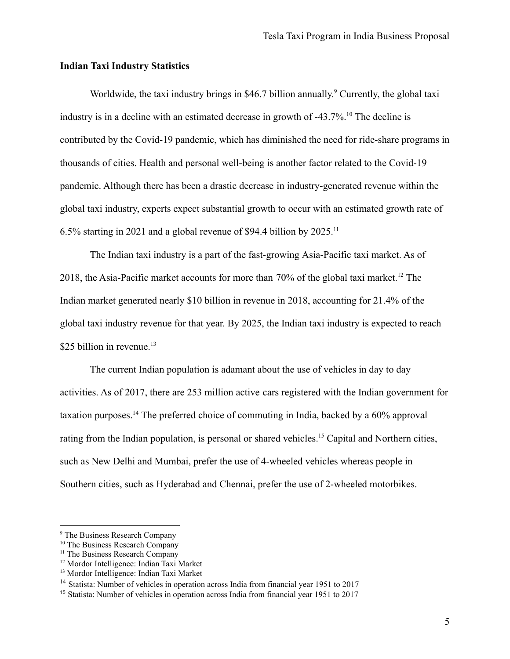### <span id="page-5-0"></span>**Indian Taxi Industry Statistics**

Worldwide, the taxi industry brings in \$46.7 billion annually.<sup>9</sup> Currently, the global taxi industry is in a decline with an estimated decrease in growth of -43.7%.<sup>10</sup> The decline is contributed by the Covid-19 pandemic, which has diminished the need for ride-share programs in thousands of cities. Health and personal well-being is another factor related to the Covid-19 pandemic. Although there has been a drastic decrease in industry-generated revenue within the global taxi industry, experts expect substantial growth to occur with an estimated growth rate of 6.5% starting in 2021 and a global revenue of \$94.4 billion by 2025.<sup>11</sup>

The Indian taxi industry is a part of the fast-growing Asia-Pacific taxi market. As of 2018, the Asia-Pacific market accounts for more than 70% of the global taxi market.<sup>12</sup> The Indian market generated nearly \$10 billion in revenue in 2018, accounting for 21.4% of the global taxi industry revenue for that year. By 2025, the Indian taxi industry is expected to reach \$25 billion in revenue.<sup>13</sup>

The current Indian population is adamant about the use of vehicles in day to day activities. As of 2017, there are 253 million active cars registered with the Indian government for taxation purposes.<sup>14</sup> The preferred choice of commuting in India, backed by a 60% approval rating from the Indian population, is personal or shared vehicles.<sup>15</sup> Capital and Northern cities, such as New Delhi and Mumbai, prefer the use of 4-wheeled vehicles whereas people in Southern cities, such as Hyderabad and Chennai, prefer the use of 2-wheeled motorbikes.

<sup>9</sup> The Business Research Company

<sup>&</sup>lt;sup>10</sup> The Business Research Company

<sup>&</sup>lt;sup>11</sup> The Business Research Company

<sup>12</sup> Mordor Intelligence: Indian Taxi Market

<sup>13</sup> Mordor Intelligence: Indian Taxi Market

<sup>&</sup>lt;sup>14</sup> Statista: Number of vehicles in operation across India from financial year 1951 to 2017

<sup>15</sup> Statista: Number of vehicles in operation across India from financial year 1951 to 2017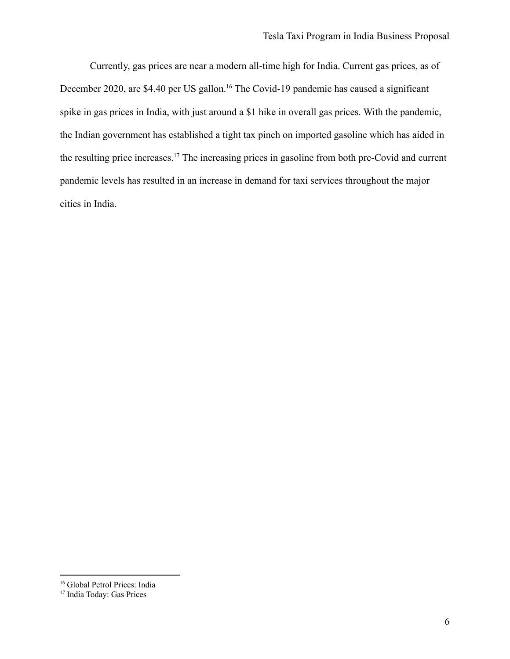Currently, gas prices are near a modern all-time high for India. Current gas prices, as of December 2020, are \$4.40 per US gallon.<sup>16</sup> The Covid-19 pandemic has caused a significant spike in gas prices in India, with just around a \$1 hike in overall gas prices. With the pandemic, the Indian government has established a tight tax pinch on imported gasoline which has aided in the resulting price increases.<sup>17</sup> The increasing prices in gasoline from both pre-Covid and current pandemic levels has resulted in an increase in demand for taxi services throughout the major cities in India.

<sup>&</sup>lt;sup>16</sup> Global Petrol Prices: India

<sup>17</sup> India Today: Gas Prices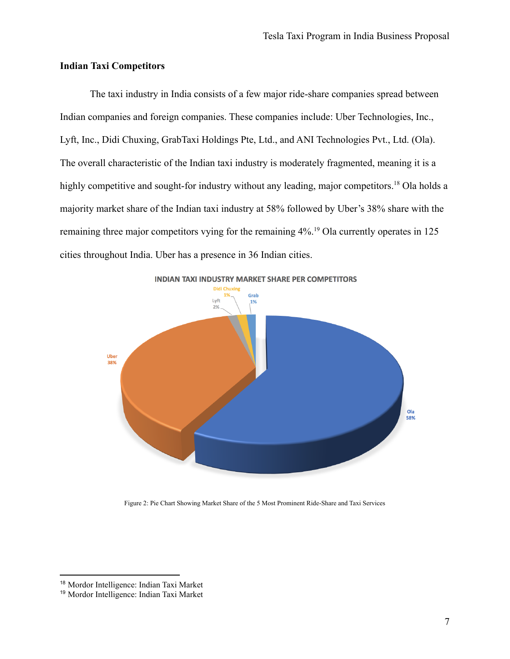# <span id="page-7-0"></span>**Indian Taxi Competitors**

The taxi industry in India consists of a few major ride-share companies spread between Indian companies and foreign companies. These companies include: Uber Technologies, Inc., Lyft, Inc., Didi Chuxing, GrabTaxi Holdings Pte, Ltd., and ANI Technologies Pvt., Ltd. (Ola). The overall characteristic of the Indian taxi industry is moderately fragmented, meaning it is a highly competitive and sought-for industry without any leading, major competitors.<sup>18</sup> Ola holds a majority market share of the Indian taxi industry at 58% followed by Uber's 38% share with the remaining three major competitors vying for the remaining 4%.<sup>19</sup> Ola currently operates in 125 cities throughout India. Uber has a presence in 36 Indian cities.



Figure 2: Pie Chart Showing Market Share of the 5 Most Prominent Ride-Share and Taxi Services

<sup>18</sup> Mordor Intelligence: Indian Taxi Market

<sup>19</sup> Mordor Intelligence: Indian Taxi Market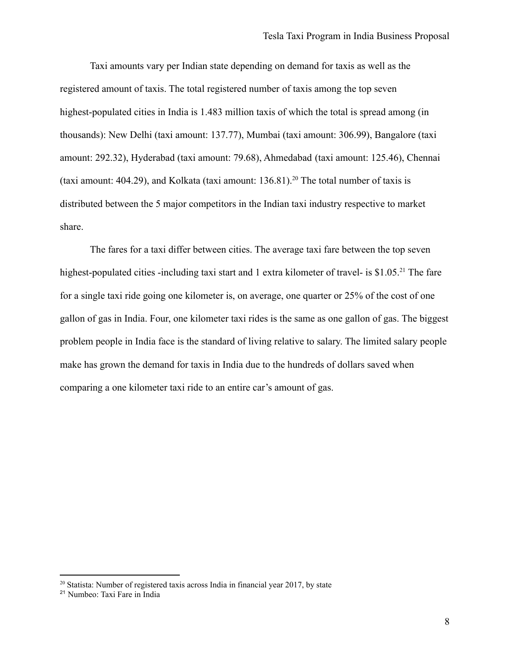Taxi amounts vary per Indian state depending on demand for taxis as well as the registered amount of taxis. The total registered number of taxis among the top seven highest-populated cities in India is 1.483 million taxis of which the total is spread among (in thousands): New Delhi (taxi amount: 137.77), Mumbai (taxi amount: 306.99), Bangalore (taxi amount: 292.32), Hyderabad (taxi amount: 79.68), Ahmedabad (taxi amount: 125.46), Chennai (taxi amount: 404.29), and Kolkata (taxi amount:  $136.81$ ).<sup>20</sup> The total number of taxis is distributed between the 5 major competitors in the Indian taxi industry respective to market share.

The fares for a taxi differ between cities. The average taxi fare between the top seven highest-populated cities -including taxi start and 1 extra kilometer of travel- is \$1.05<sup>21</sup>. The fare for a single taxi ride going one kilometer is, on average, one quarter or 25% of the cost of one gallon of gas in India. Four, one kilometer taxi rides is the same as one gallon of gas. The biggest problem people in India face is the standard of living relative to salary. The limited salary people make has grown the demand for taxis in India due to the hundreds of dollars saved when comparing a one kilometer taxi ride to an entire car's amount of gas.

<sup>&</sup>lt;sup>20</sup> Statista: Number of registered taxis across India in financial year 2017, by state

<sup>21</sup> Numbeo: Taxi Fare in India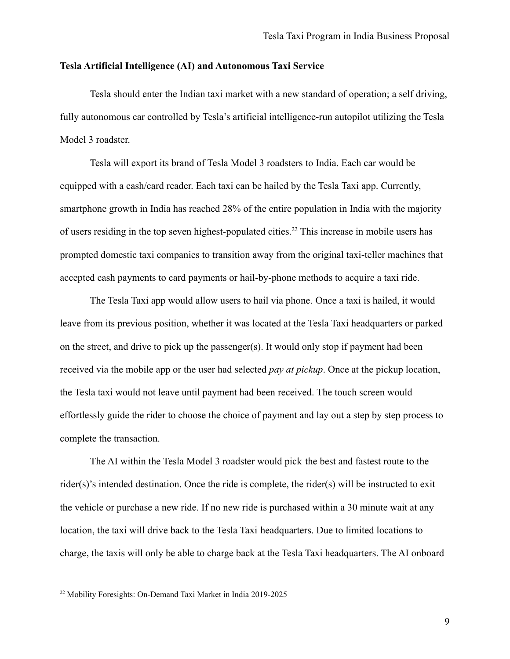### <span id="page-9-0"></span>**Tesla Artificial Intelligence (AI) and Autonomous Taxi Service**

Tesla should enter the Indian taxi market with a new standard of operation; a self driving, fully autonomous car controlled by Tesla's artificial intelligence-run autopilot utilizing the Tesla Model 3 roadster.

Tesla will export its brand of Tesla Model 3 roadsters to India. Each car would be equipped with a cash/card reader. Each taxi can be hailed by the Tesla Taxi app. Currently, smartphone growth in India has reached 28% of the entire population in India with the majority of users residing in the top seven highest-populated cities.<sup>22</sup> This increase in mobile users has prompted domestic taxi companies to transition away from the original taxi-teller machines that accepted cash payments to card payments or hail-by-phone methods to acquire a taxi ride.

The Tesla Taxi app would allow users to hail via phone. Once a taxi is hailed, it would leave from its previous position, whether it was located at the Tesla Taxi headquarters or parked on the street, and drive to pick up the passenger(s). It would only stop if payment had been received via the mobile app or the user had selected *pay at pickup*. Once at the pickup location, the Tesla taxi would not leave until payment had been received. The touch screen would effortlessly guide the rider to choose the choice of payment and lay out a step by step process to complete the transaction.

The AI within the Tesla Model 3 roadster would pick the best and fastest route to the rider(s)'s intended destination. Once the ride is complete, the rider(s) will be instructed to exit the vehicle or purchase a new ride. If no new ride is purchased within a 30 minute wait at any location, the taxi will drive back to the Tesla Taxi headquarters. Due to limited locations to charge, the taxis will only be able to charge back at the Tesla Taxi headquarters. The AI onboard

<sup>22</sup> Mobility Foresights: On-Demand Taxi Market in India 2019-2025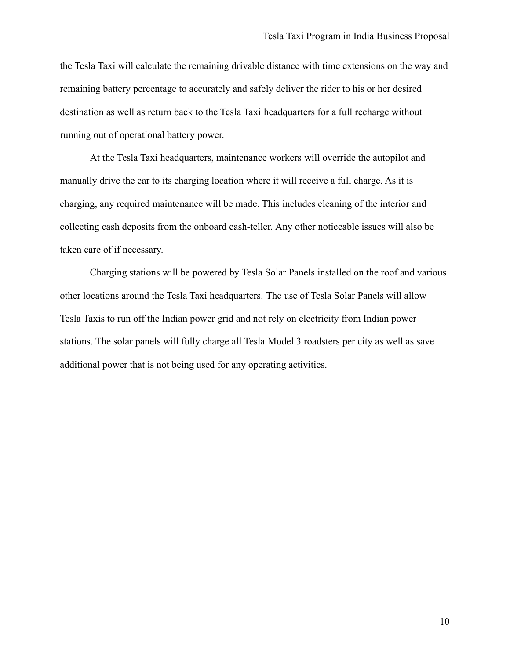the Tesla Taxi will calculate the remaining drivable distance with time extensions on the way and remaining battery percentage to accurately and safely deliver the rider to his or her desired destination as well as return back to the Tesla Taxi headquarters for a full recharge without running out of operational battery power.

At the Tesla Taxi headquarters, maintenance workers will override the autopilot and manually drive the car to its charging location where it will receive a full charge. As it is charging, any required maintenance will be made. This includes cleaning of the interior and collecting cash deposits from the onboard cash-teller. Any other noticeable issues will also be taken care of if necessary.

Charging stations will be powered by Tesla Solar Panels installed on the roof and various other locations around the Tesla Taxi headquarters. The use of Tesla Solar Panels will allow Tesla Taxis to run off the Indian power grid and not rely on electricity from Indian power stations. The solar panels will fully charge all Tesla Model 3 roadsters per city as well as save additional power that is not being used for any operating activities.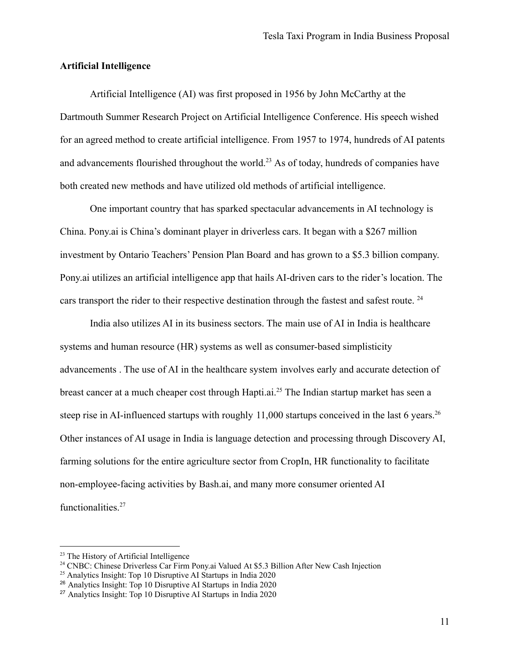### <span id="page-11-0"></span>**Artificial Intelligence**

Artificial Intelligence (AI) was first proposed in 1956 by John McCarthy at the Dartmouth Summer Research Project on Artificial Intelligence Conference. His speech wished for an agreed method to create artificial intelligence. From 1957 to 1974, hundreds of AI patents and advancements flourished throughout the world.<sup>23</sup> As of today, hundreds of companies have both created new methods and have utilized old methods of artificial intelligence.

One important country that has sparked spectacular advancements in AI technology is China. Pony.ai is China's dominant player in driverless cars. It began with a \$267 million investment by Ontario Teachers' Pension Plan Board and has grown to a \$5.3 billion company. Pony.ai utilizes an artificial intelligence app that hails AI-driven cars to the rider's location. The cars transport the rider to their respective destination through the fastest and safest route. <sup>24</sup>

India also utilizes AI in its business sectors. The main use of AI in India is healthcare systems and human resource (HR) systems as well as consumer-based simplisticity advancements . The use of AI in the healthcare system involves early and accurate detection of breast cancer at a much cheaper cost through Hapti.ai.<sup>25</sup> The Indian startup market has seen a steep rise in AI-influenced startups with roughly  $11,000$  startups conceived in the last 6 years.<sup>26</sup> Other instances of AI usage in India is language detection and processing through Discovery AI, farming solutions for the entire agriculture sector from CropIn, HR functionality to facilitate non-employee-facing activities by Bash.ai, and many more consumer oriented AI functionalities.<sup>27</sup>

<sup>&</sup>lt;sup>23</sup> The History of Artificial Intelligence

<sup>&</sup>lt;sup>24</sup> CNBC: Chinese Driverless Car Firm Pony.ai Valued At \$5.3 Billion After New Cash Injection

<sup>25</sup> Analytics Insight: Top 10 Disruptive AI Startups in India 2020

<sup>26</sup> Analytics Insight: Top 10 Disruptive AI Startups in India 2020

<sup>27</sup> Analytics Insight: Top 10 Disruptive AI Startups in India 2020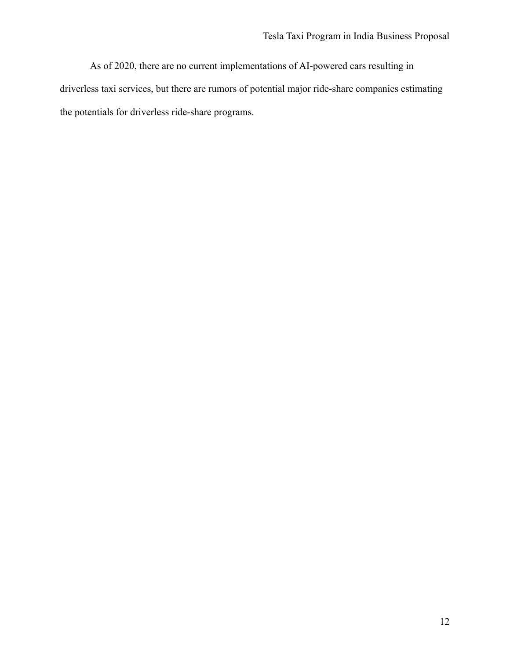As of 2020, there are no current implementations of AI-powered cars resulting in driverless taxi services, but there are rumors of potential major ride-share companies estimating the potentials for driverless ride-share programs.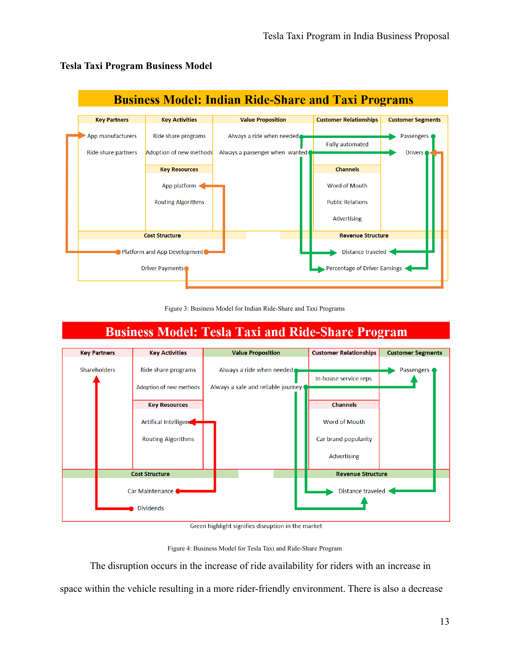

# <span id="page-13-0"></span>**Tesla Taxi Program Business Model**



#### **Business Model: Tesla Taxi and Ride-Share Program Key Activities Key Partners Value Proposition Customer Relationships Customer Segments** Shareholders Ride share programs Always a ride when needed Passengers In-house service reps. Adoption of new methods Always a safe and reliable journey **Channels Key Resources** Artifical Intelligence Word of Mouth **Routing Algorithms** Car brand popularity Advertising **Cost Structure Revenue Structure** Car Maintenance Distance traveled Dividends

Green highlight signifies disruption in the market

Figure 4: Business Model for Tesla Taxi and Ride-Share Program

The disruption occurs in the increase of ride availability for riders with an increase in space within the vehicle resulting in a more rider-friendly environment. There is also a decrease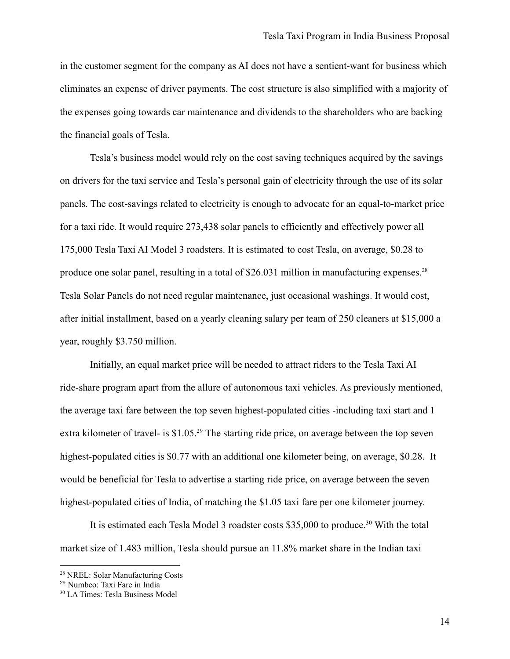in the customer segment for the company as AI does not have a sentient-want for business which eliminates an expense of driver payments. The cost structure is also simplified with a majority of the expenses going towards car maintenance and dividends to the shareholders who are backing the financial goals of Tesla.

Tesla's business model would rely on the cost saving techniques acquired by the savings on drivers for the taxi service and Tesla's personal gain of electricity through the use of its solar panels. The cost-savings related to electricity is enough to advocate for an equal-to-market price for a taxi ride. It would require 273,438 solar panels to efficiently and effectively power all 175,000 Tesla Taxi AI Model 3 roadsters. It is estimated to cost Tesla, on average, \$0.28 to produce one solar panel, resulting in a total of \$26.031 million in manufacturing expenses.<sup>28</sup> Tesla Solar Panels do not need regular maintenance, just occasional washings. It would cost, after initial installment, based on a yearly cleaning salary per team of 250 cleaners at \$15,000 a year, roughly \$3.750 million.

Initially, an equal market price will be needed to attract riders to the Tesla Taxi AI ride-share program apart from the allure of autonomous taxi vehicles. As previously mentioned, the average taxi fare between the top seven highest-populated cities -including taxi start and 1 extra kilometer of travel- is \$1.05<sup>29</sup>. The starting ride price, on average between the top seven highest-populated cities is \$0.77 with an additional one kilometer being, on average, \$0.28. It would be beneficial for Tesla to advertise a starting ride price, on average between the seven highest-populated cities of India, of matching the \$1.05 taxi fare per one kilometer journey.

It is estimated each Tesla Model 3 roadster costs \$35,000 to produce.<sup>30</sup> With the total market size of 1.483 million, Tesla should pursue an 11.8% market share in the Indian taxi

<sup>28</sup> NREL: Solar Manufacturing Costs

<sup>29</sup> Numbeo: Taxi Fare in India

<sup>30</sup> LA Times: Tesla Business Model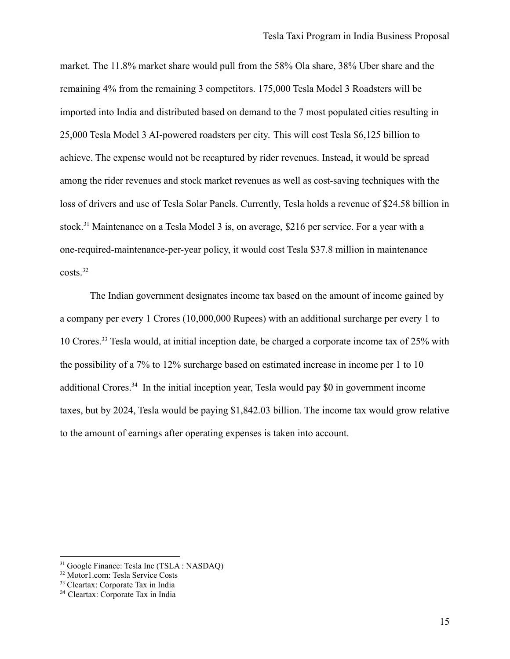market. The 11.8% market share would pull from the 58% Ola share, 38% Uber share and the remaining 4% from the remaining 3 competitors. 175,000 Tesla Model 3 Roadsters will be imported into India and distributed based on demand to the 7 most populated cities resulting in 25,000 Tesla Model 3 AI-powered roadsters per city. This will cost Tesla \$6,125 billion to achieve. The expense would not be recaptured by rider revenues. Instead, it would be spread among the rider revenues and stock market revenues as well as cost-saving techniques with the loss of drivers and use of Tesla Solar Panels. Currently, Tesla holds a revenue of \$24.58 billion in stock.<sup>31</sup> Maintenance on a Tesla Model 3 is, on average, \$216 per service. For a year with a one-required-maintenance-per-year policy, it would cost Tesla \$37.8 million in maintenance  $costs.<sup>32</sup>$ 

The Indian government designates income tax based on the amount of income gained by a company per every 1 Crores (10,000,000 Rupees) with an additional surcharge per every 1 to 10 Crores.<sup>33</sup> Tesla would, at initial inception date, be charged a corporate income tax of 25% with the possibility of a 7% to 12% surcharge based on estimated increase in income per 1 to 10 additional Crores.<sup>34</sup> In the initial inception year, Tesla would pay \$0 in government income taxes, but by 2024, Tesla would be paying \$1,842.03 billion. The income tax would grow relative to the amount of earnings after operating expenses is taken into account.

<sup>31</sup> Google Finance: Tesla Inc (TSLA : NASDAQ)

<sup>32</sup> Motor1.com: Tesla Service Costs

<sup>33</sup> Cleartax: Corporate Tax in India

<sup>34</sup> Cleartax: Corporate Tax in India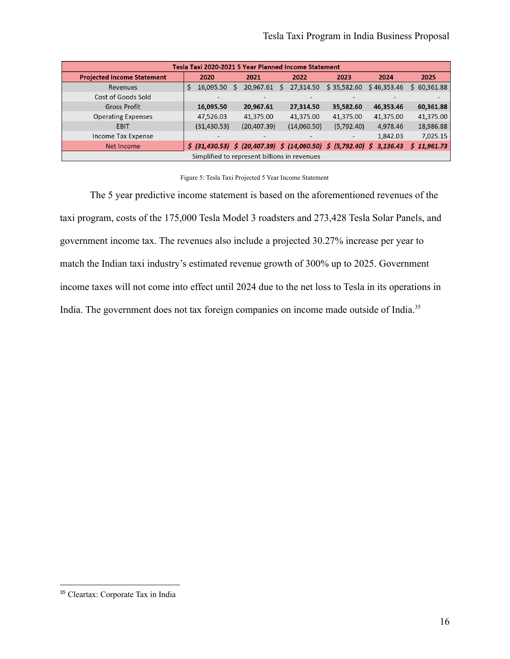| Tesla Taxi 2020-2021 5 Year Planned Income Statement |                |                                                                                                                      |                |             |             |                 |  |
|------------------------------------------------------|----------------|----------------------------------------------------------------------------------------------------------------------|----------------|-------------|-------------|-----------------|--|
| <b>Projected Income Statement</b>                    | 2020           | 2021                                                                                                                 | 2022           | 2023        | 2024        | 2025            |  |
| Revenues                                             | 16,095.50<br>S | 20,967.61                                                                                                            | 27,314.50<br>S | \$35,582.60 | \$46,353.46 | 60,361.88<br>S. |  |
| Cost of Goods Sold                                   |                |                                                                                                                      |                |             |             |                 |  |
| <b>Gross Profit</b>                                  | 16,095.50      | 20,967.61                                                                                                            | 27,314.50      | 35,582.60   | 46,353.46   | 60,361.88       |  |
| <b>Operating Expenses</b>                            | 47,526.03      | 41,375.00                                                                                                            | 41,375.00      | 41,375.00   | 41,375.00   | 41,375.00       |  |
| <b>EBIT</b>                                          | (31, 430.53)   | (20, 407.39)                                                                                                         | (14,060.50)    | (5,792.40)  | 4,978.46    | 18,986.88       |  |
| <b>Income Tax Expense</b>                            |                | -                                                                                                                    |                |             | 1,842.03    | 7,025.15        |  |
| Net Income                                           |                | $\frac{1}{2}$ (31,430.53) $\frac{1}{2}$ (20,407.39) $\frac{1}{2}$ (14,060.50) $\frac{1}{2}$ (5,792.40) $\frac{1}{2}$ |                |             | 3,136.43    | \$11,961.73     |  |
| Simplified to represent billions in revenues         |                |                                                                                                                      |                |             |             |                 |  |

#### Figure 5: Tesla Taxi Projected 5 Year Income Statement

The 5 year predictive income statement is based on the aforementioned revenues of the taxi program, costs of the 175,000 Tesla Model 3 roadsters and 273,428 Tesla Solar Panels, and government income tax. The revenues also include a projected 30.27% increase per year to match the Indian taxi industry's estimated revenue growth of 300% up to 2025. Government income taxes will not come into effect until 2024 due to the net loss to Tesla in its operations in India. The government does not tax foreign companies on income made outside of India.<sup>35</sup>

<sup>35</sup> Cleartax: Corporate Tax in India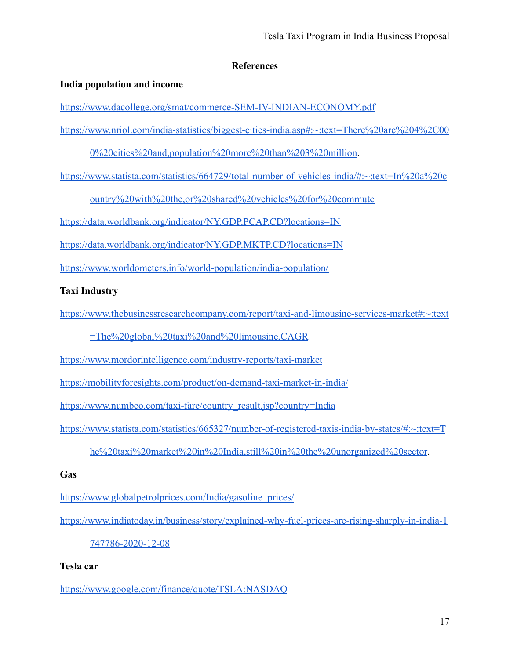# **References**

# <span id="page-17-0"></span>**India population and income**

<https://www.dacollege.org/smat/commerce-SEM-IV-INDIAN-ECONOMY.pdf>

[https://www.nriol.com/india-statistics/biggest-cities-india.asp#:~:text=There%20are%204%2C00](https://www.nriol.com/india-statistics/biggest-cities-india.asp#:~:text=There%20are%204%2C000%20cities%20and,population%20more%20than%203%20million)

[0%20cities%20and,population%20more%20than%203%20million.](https://www.nriol.com/india-statistics/biggest-cities-india.asp#:~:text=There%20are%204%2C000%20cities%20and,population%20more%20than%203%20million)

[https://www.statista.com/statistics/664729/total-number-of-vehicles-india/#:~:text=In%20a%20c](https://www.statista.com/statistics/664729/total-number-of-vehicles-india/#:~:text=In%20a%20country%20with%20the,or%20shared%20vehicles%20for%20commute)

[ountry%20with%20the,or%20shared%20vehicles%20for%20commute](https://www.statista.com/statistics/664729/total-number-of-vehicles-india/#:~:text=In%20a%20country%20with%20the,or%20shared%20vehicles%20for%20commute)

<https://data.worldbank.org/indicator/NY.GDP.PCAP.CD?locations=IN>

<https://data.worldbank.org/indicator/NY.GDP.MKTP.CD?locations=IN>

<https://www.worldometers.info/world-population/india-population/>

# **Taxi Industry**

[https://www.thebusinessresearchcompany.com/report/taxi-and-limousine-services-market#:~:text](https://www.thebusinessresearchcompany.com/report/taxi-and-limousine-services-market#:~:text=The%20global%20taxi%20and%20limousine,CAGR)

[=The%20global%20taxi%20and%20limousine,CAGR](https://www.thebusinessresearchcompany.com/report/taxi-and-limousine-services-market#:~:text=The%20global%20taxi%20and%20limousine,CAGR)

<https://www.mordorintelligence.com/industry-reports/taxi-market>

<https://mobilityforesights.com/product/on-demand-taxi-market-in-india/>

[https://www.numbeo.com/taxi-fare/country\\_result.jsp?country=India](https://www.numbeo.com/taxi-fare/country_result.jsp?country=India)

[https://www.statista.com/statistics/665327/number-of-registered-taxis-india-by-states/#:~:text=T](https://www.statista.com/statistics/665327/number-of-registered-taxis-india-by-states/#:~:text=The%20taxi%20market%20in%20India,still%20in%20the%20unorganized%20sector)

[he%20taxi%20market%20in%20India,still%20in%20the%20unorganized%20sector](https://www.statista.com/statistics/665327/number-of-registered-taxis-india-by-states/#:~:text=The%20taxi%20market%20in%20India,still%20in%20the%20unorganized%20sector).

# **Gas**

[https://www.globalpetrolprices.com/India/gasoline\\_prices/](https://www.globalpetrolprices.com/India/gasoline_prices/)

[https://www.indiatoday.in/business/story/explained-why-fuel-prices-are-rising-sharply-in-india-1](https://www.indiatoday.in/business/story/explained-why-fuel-prices-are-rising-sharply-in-india-1747786-2020-12-08)

# [747786-2020-12-08](https://www.indiatoday.in/business/story/explained-why-fuel-prices-are-rising-sharply-in-india-1747786-2020-12-08)

# **Tesla car**

<https://www.google.com/finance/quote/TSLA:NASDAQ>